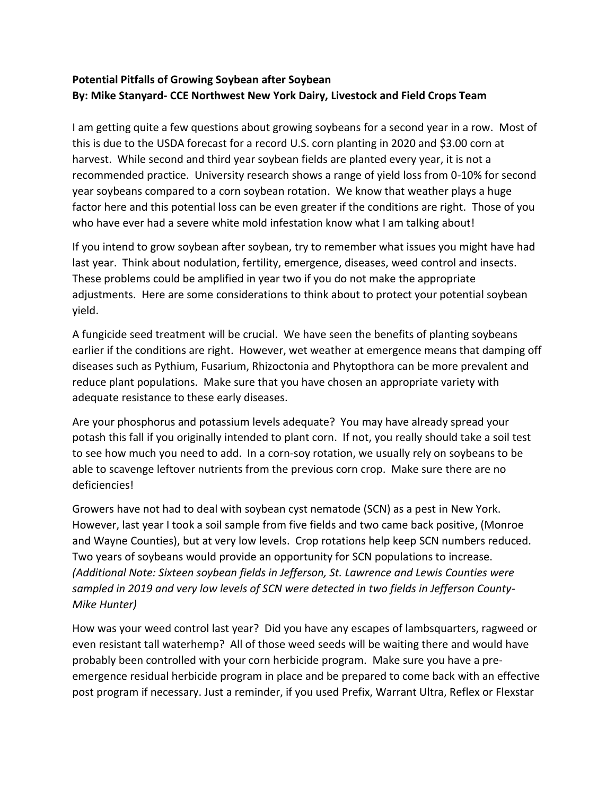## **Potential Pitfalls of Growing Soybean after Soybean By: Mike Stanyard- CCE Northwest New York Dairy, Livestock and Field Crops Team**

I am getting quite a few questions about growing soybeans for a second year in a row. Most of this is due to the USDA forecast for a record U.S. corn planting in 2020 and \$3.00 corn at harvest. While second and third year soybean fields are planted every year, it is not a recommended practice. University research shows a range of yield loss from 0-10% for second year soybeans compared to a corn soybean rotation. We know that weather plays a huge factor here and this potential loss can be even greater if the conditions are right. Those of you who have ever had a severe white mold infestation know what I am talking about!

If you intend to grow soybean after soybean, try to remember what issues you might have had last year. Think about nodulation, fertility, emergence, diseases, weed control and insects. These problems could be amplified in year two if you do not make the appropriate adjustments. Here are some considerations to think about to protect your potential soybean yield.

A fungicide seed treatment will be crucial. We have seen the benefits of planting soybeans earlier if the conditions are right. However, wet weather at emergence means that damping off diseases such as Pythium, Fusarium, Rhizoctonia and Phytopthora can be more prevalent and reduce plant populations. Make sure that you have chosen an appropriate variety with adequate resistance to these early diseases.

Are your phosphorus and potassium levels adequate? You may have already spread your potash this fall if you originally intended to plant corn. If not, you really should take a soil test to see how much you need to add. In a corn-soy rotation, we usually rely on soybeans to be able to scavenge leftover nutrients from the previous corn crop. Make sure there are no deficiencies!

Growers have not had to deal with soybean cyst nematode (SCN) as a pest in New York. However, last year I took a soil sample from five fields and two came back positive, (Monroe and Wayne Counties), but at very low levels. Crop rotations help keep SCN numbers reduced. Two years of soybeans would provide an opportunity for SCN populations to increase. *(Additional Note: Sixteen soybean fields in Jefferson, St. Lawrence and Lewis Counties were sampled in 2019 and very low levels of SCN were detected in two fields in Jefferson County-Mike Hunter)*

How was your weed control last year? Did you have any escapes of lambsquarters, ragweed or even resistant tall waterhemp? All of those weed seeds will be waiting there and would have probably been controlled with your corn herbicide program. Make sure you have a preemergence residual herbicide program in place and be prepared to come back with an effective post program if necessary. Just a reminder, if you used Prefix, Warrant Ultra, Reflex or Flexstar